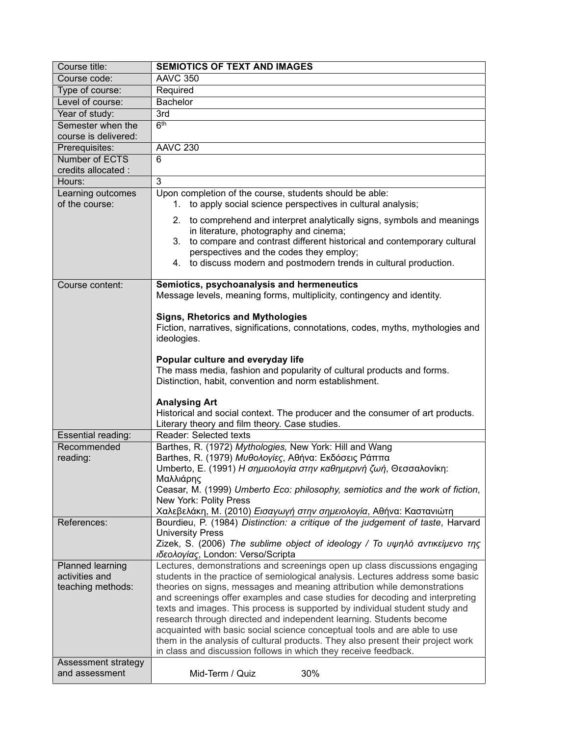| Course title:                       | <b>SEMIOTICS OF TEXT AND IMAGES</b>                                                                                                                                                               |  |  |  |
|-------------------------------------|---------------------------------------------------------------------------------------------------------------------------------------------------------------------------------------------------|--|--|--|
| Course code:                        | <b>AAVC 350</b>                                                                                                                                                                                   |  |  |  |
| Type of course:                     | Required                                                                                                                                                                                          |  |  |  |
| Level of course:                    | <b>Bachelor</b>                                                                                                                                                                                   |  |  |  |
| Year of study:                      | 3rd                                                                                                                                                                                               |  |  |  |
| Semester when the                   | 6 <sup>th</sup>                                                                                                                                                                                   |  |  |  |
| course is delivered:                |                                                                                                                                                                                                   |  |  |  |
| Prerequisites:                      | <b>AAVC 230</b>                                                                                                                                                                                   |  |  |  |
| Number of ECTS                      | 6                                                                                                                                                                                                 |  |  |  |
| credits allocated :                 |                                                                                                                                                                                                   |  |  |  |
| Hours:                              | 3                                                                                                                                                                                                 |  |  |  |
| Learning outcomes<br>of the course: | Upon completion of the course, students should be able:<br>1. to apply social science perspectives in cultural analysis;                                                                          |  |  |  |
|                                     | 2. to comprehend and interpret analytically signs, symbols and meanings<br>in literature, photography and cinema;<br>to compare and contrast different historical and contemporary cultural<br>3. |  |  |  |
|                                     | perspectives and the codes they employ;                                                                                                                                                           |  |  |  |
|                                     | 4. to discuss modern and postmodern trends in cultural production.                                                                                                                                |  |  |  |
| Course content:                     | Semiotics, psychoanalysis and hermeneutics<br>Message levels, meaning forms, multiplicity, contingency and identity.                                                                              |  |  |  |
|                                     | <b>Signs, Rhetorics and Mythologies</b><br>Fiction, narratives, significations, connotations, codes, myths, mythologies and<br>ideologies.                                                        |  |  |  |
|                                     | Popular culture and everyday life<br>The mass media, fashion and popularity of cultural products and forms.                                                                                       |  |  |  |
|                                     | Distinction, habit, convention and norm establishment.                                                                                                                                            |  |  |  |
|                                     | <b>Analysing Art</b>                                                                                                                                                                              |  |  |  |
|                                     | Historical and social context. The producer and the consumer of art products.                                                                                                                     |  |  |  |
|                                     | Literary theory and film theory. Case studies.                                                                                                                                                    |  |  |  |
| Essential reading:                  | Reader: Selected texts                                                                                                                                                                            |  |  |  |
| Recommended                         | Barthes, R. (1972) Mythologies, New York: Hill and Wang                                                                                                                                           |  |  |  |
| reading:                            | Barthes, R. (1979) Μυθολογίες, Αθήνα: Εκδόσεις Ράππα                                                                                                                                              |  |  |  |
|                                     | Umberto, E. (1991) Η σημειολογία στην καθημερινή ζωή, Θεσσαλονίκη:                                                                                                                                |  |  |  |
|                                     | Μαλλιάρης                                                                                                                                                                                         |  |  |  |
|                                     | Ceasar, M. (1999) Umberto Eco: philosophy, semiotics and the work of fiction,                                                                                                                     |  |  |  |
|                                     | New York: Polity Press<br>Χαλεβελάκη, Μ. (2010) Εισαγωγή στην σημειολογία, Αθήνα: Καστανιώτη                                                                                                      |  |  |  |
| References:                         | Bourdieu, P. (1984) Distinction: a critique of the judgement of taste, Harvard                                                                                                                    |  |  |  |
|                                     | <b>University Press</b>                                                                                                                                                                           |  |  |  |
|                                     | Zizek, S. (2006) The sublime object of ideology / Το υψηλό αντικείμενο της                                                                                                                        |  |  |  |
| <b>Planned learning</b>             | ιδεολογίας, London: Verso/Scripta<br>Lectures, demonstrations and screenings open up class discussions engaging                                                                                   |  |  |  |
| activities and                      | students in the practice of semiological analysis. Lectures address some basic                                                                                                                    |  |  |  |
| teaching methods:                   | theories on signs, messages and meaning attribution while demonstrations                                                                                                                          |  |  |  |
|                                     | and screenings offer examples and case studies for decoding and interpreting                                                                                                                      |  |  |  |
|                                     | texts and images. This process is supported by individual student study and<br>research through directed and independent learning. Students become                                                |  |  |  |
|                                     |                                                                                                                                                                                                   |  |  |  |
|                                     | acquainted with basic social science conceptual tools and are able to use                                                                                                                         |  |  |  |
|                                     | them in the analysis of cultural products. They also present their project work                                                                                                                   |  |  |  |
|                                     | in class and discussion follows in which they receive feedback.                                                                                                                                   |  |  |  |
| Assessment strategy                 |                                                                                                                                                                                                   |  |  |  |
| and assessment                      | 30%<br>Mid-Term / Quiz                                                                                                                                                                            |  |  |  |